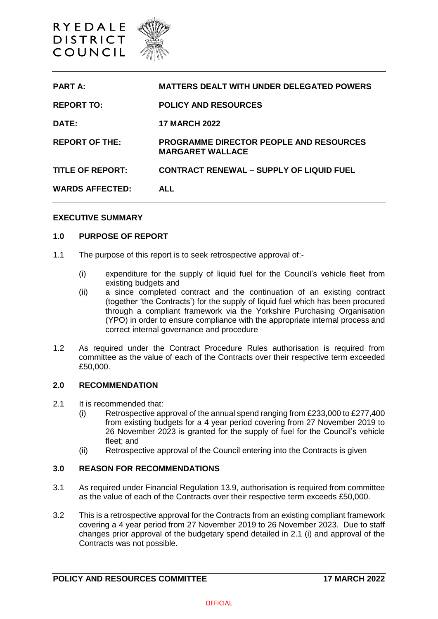

| <b>PART A:</b>          | <b>MATTERS DEALT WITH UNDER DELEGATED POWERS</b>                          |
|-------------------------|---------------------------------------------------------------------------|
| <b>REPORT TO:</b>       | <b>POLICY AND RESOURCES</b>                                               |
| DATE:                   | <b>17 MARCH 2022</b>                                                      |
| <b>REPORT OF THE:</b>   | <b>PROGRAMME DIRECTOR PEOPLE AND RESOURCES</b><br><b>MARGARET WALLACE</b> |
| <b>TITLE OF REPORT:</b> | <b>CONTRACT RENEWAL - SUPPLY OF LIQUID FUEL</b>                           |
| <b>WARDS AFFECTED:</b>  | AI I                                                                      |

### **EXECUTIVE SUMMARY**

### **1.0 PURPOSE OF REPORT**

- 1.1 The purpose of this report is to seek retrospective approval of:-
	- (i) expenditure for the supply of liquid fuel for the Council's vehicle fleet from existing budgets and
	- (ii) a since completed contract and the continuation of an existing contract (together 'the Contracts') for the supply of liquid fuel which has been procured through a compliant framework via the Yorkshire Purchasing Organisation (YPO) in order to ensure compliance with the appropriate internal process and correct internal governance and procedure
- 1.2 As required under the Contract Procedure Rules authorisation is required from committee as the value of each of the Contracts over their respective term exceeded £50,000.

#### **2.0 RECOMMENDATION**

- 2.1 It is recommended that:
	- (i) Retrospective approval of the annual spend ranging from £233,000 to £277,400 from existing budgets for a 4 year period covering from 27 November 2019 to 26 November 2023 is granted for the supply of fuel for the Council's vehicle fleet; and
	- (ii) Retrospective approval of the Council entering into the Contracts is given

#### **3.0 REASON FOR RECOMMENDATIONS**

- 3.1 As required under Financial Regulation 13.9, authorisation is required from committee as the value of each of the Contracts over their respective term exceeds £50,000.
- 3.2 This is a retrospective approval for the Contracts from an existing compliant framework covering a 4 year period from 27 November 2019 to 26 November 2023. Due to staff changes prior approval of the budgetary spend detailed in 2.1 (i) and approval of the Contracts was not possible.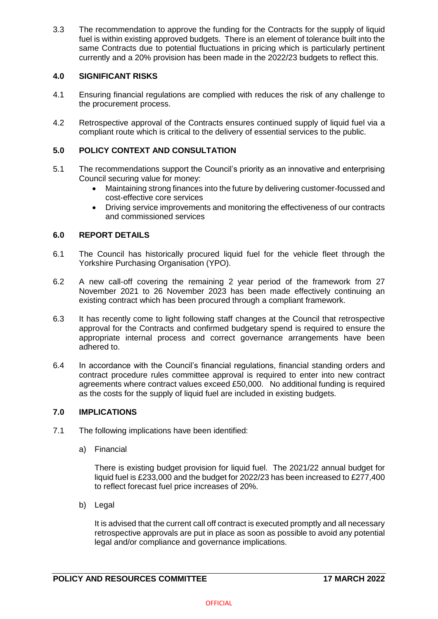3.3 The recommendation to approve the funding for the Contracts for the supply of liquid fuel is within existing approved budgets. There is an element of tolerance built into the same Contracts due to potential fluctuations in pricing which is particularly pertinent currently and a 20% provision has been made in the 2022/23 budgets to reflect this.

# **4.0 SIGNIFICANT RISKS**

- 4.1 Ensuring financial regulations are complied with reduces the risk of any challenge to the procurement process.
- 4.2 Retrospective approval of the Contracts ensures continued supply of liquid fuel via a compliant route which is critical to the delivery of essential services to the public.

# **5.0 POLICY CONTEXT AND CONSULTATION**

- 5.1 The recommendations support the Council's priority as an innovative and enterprising Council securing value for money:
	- Maintaining strong finances into the future by delivering customer-focussed and cost-effective core services
	- Driving service improvements and monitoring the effectiveness of our contracts and commissioned services

## **6.0 REPORT DETAILS**

- 6.1 The Council has historically procured liquid fuel for the vehicle fleet through the Yorkshire Purchasing Organisation (YPO).
- 6.2 A new call-off covering the remaining 2 year period of the framework from 27 November 2021 to 26 November 2023 has been made effectively continuing an existing contract which has been procured through a compliant framework.
- 6.3 It has recently come to light following staff changes at the Council that retrospective approval for the Contracts and confirmed budgetary spend is required to ensure the appropriate internal process and correct governance arrangements have been adhered to.
- 6.4 In accordance with the Council's financial regulations, financial standing orders and contract procedure rules committee approval is required to enter into new contract agreements where contract values exceed £50,000. No additional funding is required as the costs for the supply of liquid fuel are included in existing budgets.

## **7.0 IMPLICATIONS**

- 7.1 The following implications have been identified:
	- a) Financial

There is existing budget provision for liquid fuel. The 2021/22 annual budget for liquid fuel is £233,000 and the budget for 2022/23 has been increased to £277,400 to reflect forecast fuel price increases of 20%.

b) Legal

It is advised that the current call off contract is executed promptly and all necessary retrospective approvals are put in place as soon as possible to avoid any potential legal and/or compliance and governance implications.